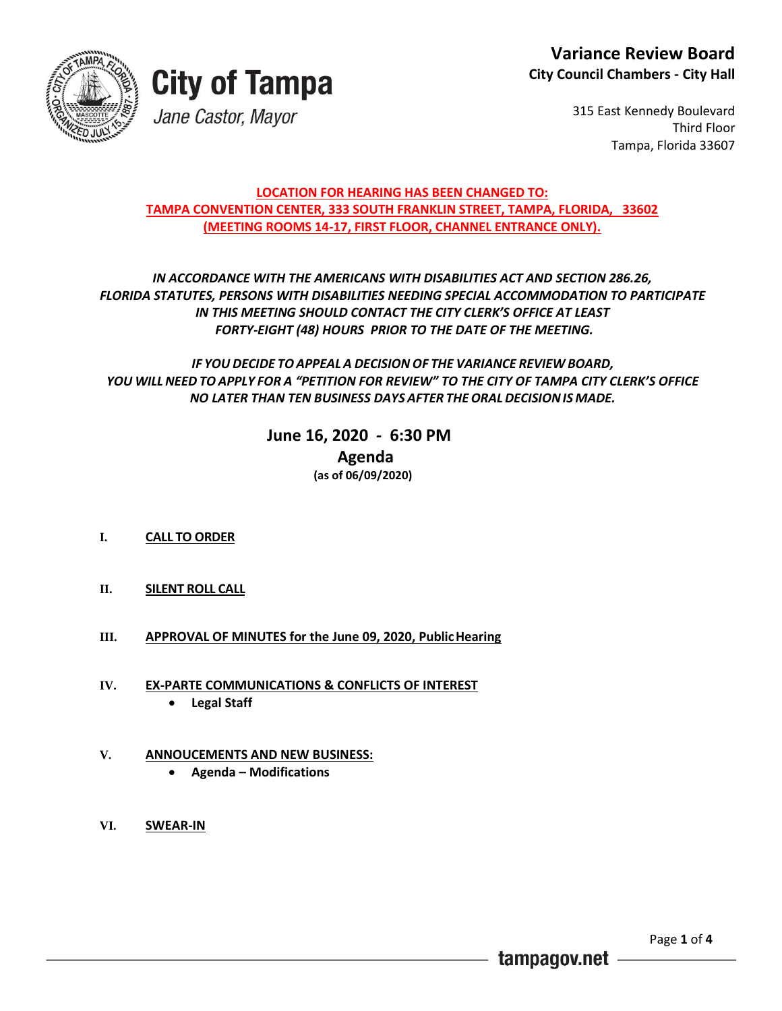



315 East Kennedy Boulevard Third Floor Tampa, Florida 33607

### **LOCATION FOR HEARING HAS BEEN CHANGED TO: TAMPA CONVENTION CENTER, 333 SOUTH FRANKLIN STREET, TAMPA, FLORIDA, 33602 (MEETING ROOMS 14-17, FIRST FLOOR, CHANNEL ENTRANCE ONLY).**

### *IN ACCORDANCE WITH THE AMERICANS WITH DISABILITIES ACT AND SECTION 286.26, FLORIDA STATUTES, PERSONS WITH DISABILITIES NEEDING SPECIAL ACCOMMODATION TO PARTICIPATE IN THIS MEETING SHOULD CONTACT THE CITY CLERK'S OFFICE AT LEAST FORTY-EIGHT (48) HOURS PRIOR TO THE DATE OF THE MEETING.*

*IF YOU DECIDE TOAPPEAL A DECISION OF THE VARIANCE REVIEW BOARD, YOU WILL NEED TO APPLY FOR A "PETITION FOR REVIEW" TO THE CITY OF TAMPA CITY CLERK'S OFFICE NO LATER THAN TEN BUSINESS DAYS AFTER THEORALDECISIONIS MADE.*

> **June 16, 2020 - 6:30 PM Agenda (as of 06/09/2020)**

- **I. CALL TO ORDER**
- **II. SILENT ROLL CALL**
- **III. APPROVAL OF MINUTES for the June 09, 2020, PublicHearing**
- **IV. EX-PARTE COMMUNICATIONS & CONFLICTS OF INTEREST Legal Staff**
- **V. ANNOUCEMENTS AND NEW BUSINESS:**
	- **Agenda – Modifications**
- **VI. SWEAR-IN**

tampagov.net

Page **1** of **4**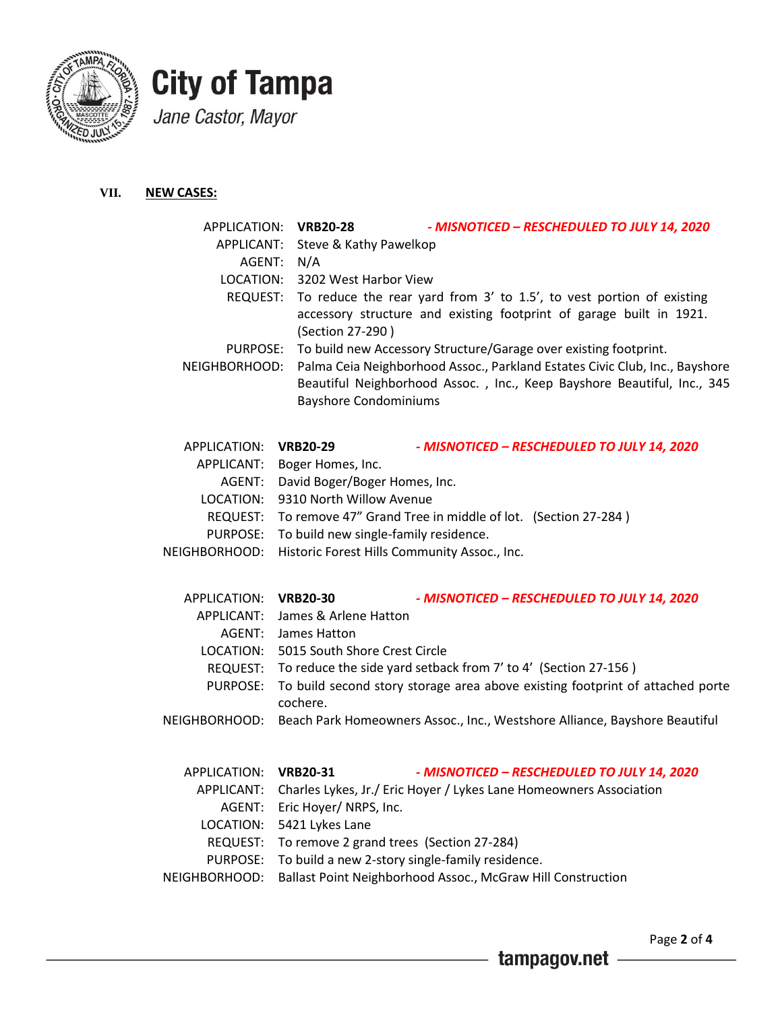

# **City of Tampa** Jane Castor, Mayor

### **VII. NEW CASES:**

| APPLICATION:    | <b>VRB20-28</b><br>- MISNOTICED - RESCHEDULED TO JULY 14, 2020                                                                                                                         |
|-----------------|----------------------------------------------------------------------------------------------------------------------------------------------------------------------------------------|
| APPLICANT:      | Steve & Kathy Pawelkop                                                                                                                                                                 |
| AGENT:          | N/A                                                                                                                                                                                    |
| LOCATION:       | 3202 West Harbor View                                                                                                                                                                  |
| REQUEST:        | To reduce the rear yard from 3' to 1.5', to vest portion of existing<br>accessory structure and existing footprint of garage built in 1921.<br>(Section 27-290)                        |
| PURPOSE:        | To build new Accessory Structure/Garage over existing footprint.                                                                                                                       |
| NEIGHBORHOOD:   | Palma Ceia Neighborhood Assoc., Parkland Estates Civic Club, Inc., Bayshore<br>Beautiful Neighborhood Assoc., Inc., Keep Bayshore Beautiful, Inc., 345<br><b>Bayshore Condominiums</b> |
| APPLICATION:    | <b>VRB20-29</b><br>- MISNOTICED - RESCHEDULED TO JULY 14, 2020                                                                                                                         |
| APPLICANT:      | Boger Homes, Inc.                                                                                                                                                                      |
| AGENT:          | David Boger/Boger Homes, Inc.                                                                                                                                                          |
| LOCATION:       | 9310 North Willow Avenue                                                                                                                                                               |
| REQUEST:        | To remove 47" Grand Tree in middle of lot. (Section 27-284)                                                                                                                            |
| PURPOSE:        | To build new single-family residence.                                                                                                                                                  |
| NEIGHBORHOOD:   | Historic Forest Hills Community Assoc., Inc.                                                                                                                                           |
| APPLICATION:    | <b>VRB20-30</b><br>- MISNOTICED - RESCHEDULED TO JULY 14, 2020                                                                                                                         |
| APPLICANT:      | James & Arlene Hatton                                                                                                                                                                  |
| AGENT:          | James Hatton                                                                                                                                                                           |
| LOCATION:       | 5015 South Shore Crest Circle                                                                                                                                                          |
| REQUEST:        | To reduce the side yard setback from 7' to 4' (Section 27-156)                                                                                                                         |
| PURPOSE:        | To build second story storage area above existing footprint of attached porte<br>cochere.                                                                                              |
| NEIGHBORHOOD:   | Beach Park Homeowners Assoc., Inc., Westshore Alliance, Bayshore Beautiful                                                                                                             |
| APPLICATION:    | <b>VRB20-31</b><br>- MISNOTICED - RESCHEDULED TO JULY 14, 2020                                                                                                                         |
| APPLICANT:      | Charles Lykes, Jr./ Eric Hoyer / Lykes Lane Homeowners Association                                                                                                                     |
| AGENT:          | Eric Hoyer/ NRPS, Inc.                                                                                                                                                                 |
| LOCATION:       | 5421 Lykes Lane                                                                                                                                                                        |
| <b>REQUEST:</b> | To remove 2 grand trees (Section 27-284)                                                                                                                                               |
| <b>PURPOSE:</b> | To build a new 2-story single-family residence.                                                                                                                                        |
| NEIGHBORHOOD:   | Ballast Point Neighborhood Assoc., McGraw Hill Construction                                                                                                                            |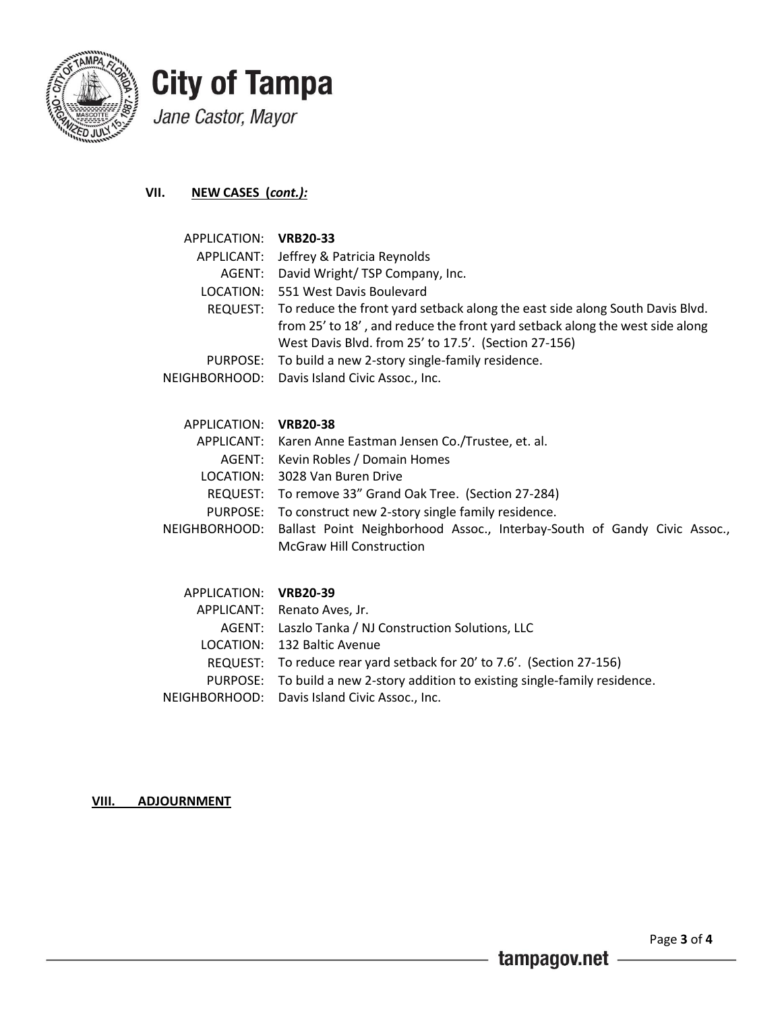

# **City of Tampa** Jane Castor, Mayor

**VII. NEW CASES (***cont.):*

| APPLICATION: VRB20-33 |                                                                                       |
|-----------------------|---------------------------------------------------------------------------------------|
|                       | APPLICANT: Jeffrey & Patricia Reynolds                                                |
|                       | AGENT: David Wright/TSP Company, Inc.                                                 |
|                       | LOCATION: 551 West Davis Boulevard                                                    |
|                       | REQUEST: To reduce the front yard setback along the east side along South Davis Blvd. |
|                       | from 25' to 18', and reduce the front yard setback along the west side along          |
|                       | West Davis Blvd. from 25' to 17.5'. (Section 27-156)                                  |
|                       | PURPOSE: To build a new 2-story single-family residence.                              |
|                       | NEIGHBORHOOD: Davis Island Civic Assoc., Inc.                                         |
|                       |                                                                                       |

| APPLICATION: VRB20-38 |                                                                                        |
|-----------------------|----------------------------------------------------------------------------------------|
|                       | APPLICANT: Karen Anne Eastman Jensen Co./Trustee, et. al.                              |
|                       | AGENT: Kevin Robles / Domain Homes                                                     |
|                       | LOCATION: 3028 Van Buren Drive                                                         |
|                       | REQUEST: To remove 33" Grand Oak Tree. (Section 27-284)                                |
|                       | PURPOSE: To construct new 2-story single family residence.                             |
|                       | NEIGHBORHOOD: Ballast Point Neighborhood Assoc., Interbay-South of Gandy Civic Assoc., |
|                       | <b>McGraw Hill Construction</b>                                                        |

| APPLICATION: VRB20-39 |                                                                               |
|-----------------------|-------------------------------------------------------------------------------|
|                       | APPLICANT: Renato Aves, Jr.                                                   |
|                       | AGENT: Laszlo Tanka / NJ Construction Solutions, LLC                          |
|                       | LOCATION: 132 Baltic Avenue                                                   |
|                       | REQUEST: To reduce rear yard setback for 20' to 7.6'. (Section 27-156)        |
|                       | PURPOSE: To build a new 2-story addition to existing single-family residence. |
|                       | NEIGHBORHOOD: Davis Island Civic Assoc., Inc.                                 |

**VIII. ADJOURNMENT**

- tampagov.net -